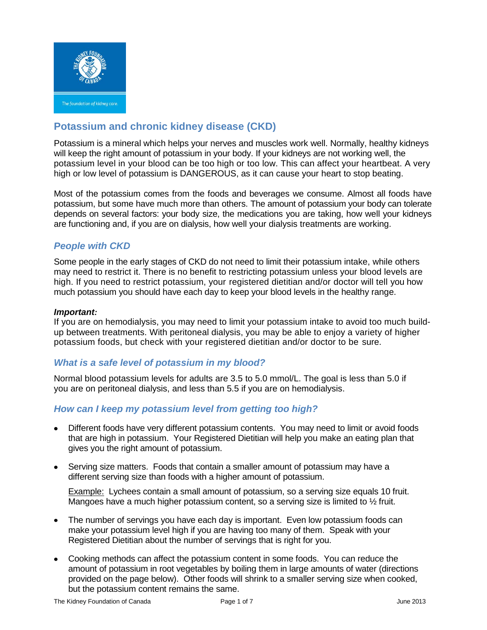

# **Potassium and chronic kidney disease (CKD)**

Potassium is a mineral which helps your nerves and muscles work well. Normally, healthy kidneys will keep the right amount of potassium in your body. If your kidneys are not working well, the potassium level in your blood can be too high or too low. This can affect your heartbeat. A very high or low level of potassium is DANGEROUS, as it can cause your heart to stop beating.

Most of the potassium comes from the foods and beverages we consume. Almost all foods have potassium, but some have much more than others. The amount of potassium your body can tolerate depends on several factors: your body size, the medications you are taking, how well your kidneys are functioning and, if you are on dialysis, how well your dialysis treatments are working.

## *People with CKD*

Some people in the early stages of CKD do not need to limit their potassium intake, while others may need to restrict it. There is no benefit to restricting potassium unless your blood levels are high. If you need to restrict potassium, your registered dietitian and/or doctor will tell you how much potassium you should have each day to keep your blood levels in the healthy range.

#### *Important:*

If you are on hemodialysis, you may need to limit your potassium intake to avoid too much buildup between treatments. With peritoneal dialysis, you may be able to enjoy a variety of higher potassium foods, but check with your registered dietitian and/or doctor to be sure.

## *What is a safe level of potassium in my blood?*

Normal blood potassium levels for adults are 3.5 to 5.0 mmol/L. The goal is less than 5.0 if you are on peritoneal dialysis, and less than 5.5 if you are on hemodialysis.

## *How can I keep my potassium level from getting too high?*

- Different foods have very different potassium contents. You may need to limit or avoid foods that are high in potassium. Your Registered Dietitian will help you make an eating plan that gives you the right amount of potassium.
- $\bullet$ Serving size matters. Foods that contain a smaller amount of potassium may have a different serving size than foods with a higher amount of potassium.

Example: Lychees contain a small amount of potassium, so a serving size equals 10 fruit. Mangoes have a much higher potassium content, so a serving size is limited to  $\frac{1}{2}$  fruit.

- The number of servings you have each day is important. Even low potassium foods can  $\bullet$ make your potassium level high if you are having too many of them. Speak with your Registered Dietitian about the number of servings that is right for you.
- Cooking methods can affect the potassium content in some foods. You can reduce the amount of potassium in root vegetables by boiling them in large amounts of water (directions provided on the page below). Other foods will shrink to a smaller serving size when cooked, but the potassium content remains the same.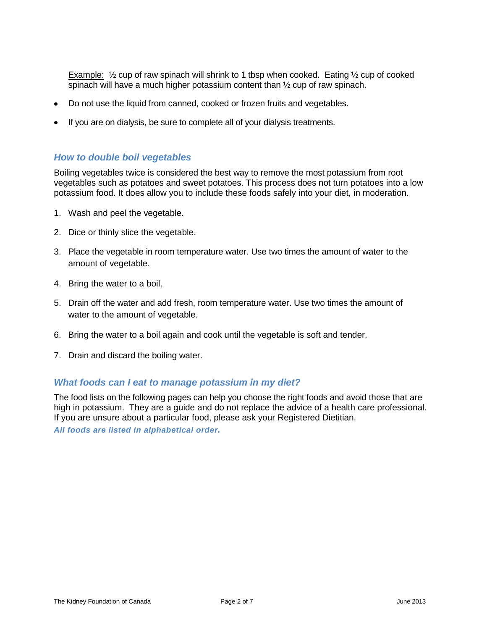Example:  $\frac{1}{2}$  cup of raw spinach will shrink to 1 tbsp when cooked. Eating  $\frac{1}{2}$  cup of cooked spinach will have a much higher potassium content than  $\frac{1}{2}$  cup of raw spinach.

- $\bullet$ Do not use the liquid from canned, cooked or frozen fruits and vegetables.
- If you are on dialysis, be sure to complete all of your dialysis treatments.  $\bullet$

#### *How to double boil vegetables*

Boiling vegetables twice is considered the best way to remove the most potassium from root vegetables such as potatoes and sweet potatoes. This process does not turn potatoes into a low potassium food. It does allow you to include these foods safely into your diet, in moderation.

- 1. Wash and peel the vegetable.
- 2. Dice or thinly slice the vegetable.
- 3. Place the vegetable in room temperature water. Use two times the amount of water to the amount of vegetable.
- 4. Bring the water to a boil.
- 5. Drain off the water and add fresh, room temperature water. Use two times the amount of water to the amount of vegetable.
- 6. Bring the water to a boil again and cook until the vegetable is soft and tender.
- 7. Drain and discard the boiling water.

#### *What foods can I eat to manage potassium in my diet?*

The food lists on the following pages can help you choose the right foods and avoid those that are high in potassium. They are a guide and do not replace the advice of a health care professional. If you are unsure about a particular food, please ask your Registered Dietitian. *All foods are listed in alphabetical order.*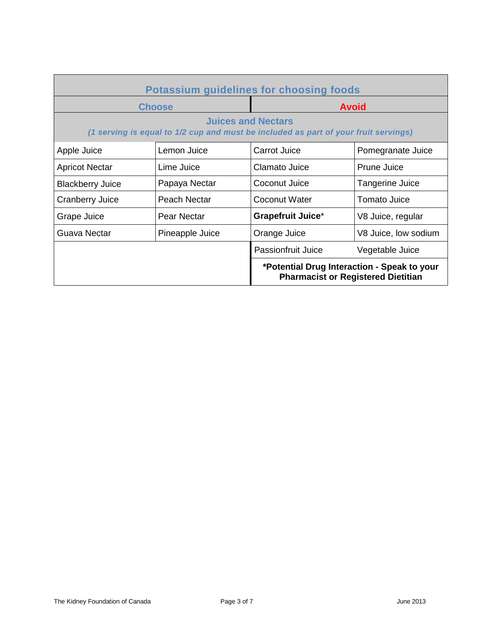| <b>Potassium guidelines for choosing foods</b>                                                                   |                 |                                                                                          |                      |  |
|------------------------------------------------------------------------------------------------------------------|-----------------|------------------------------------------------------------------------------------------|----------------------|--|
| <b>Choose</b>                                                                                                    |                 | <b>Avoid</b>                                                                             |                      |  |
| <b>Juices and Nectars</b><br>(1 serving is equal to 1/2 cup and must be included as part of your fruit servings) |                 |                                                                                          |                      |  |
| Apple Juice                                                                                                      | Lemon Juice     | <b>Carrot Juice</b>                                                                      | Pomegranate Juice    |  |
| <b>Apricot Nectar</b>                                                                                            | Lime Juice      | Clamato Juice                                                                            | Prune Juice          |  |
| <b>Blackberry Juice</b>                                                                                          | Papaya Nectar   | Coconut Juice                                                                            | Tangerine Juice      |  |
| <b>Cranberry Juice</b>                                                                                           | Peach Nectar    | Coconut Water                                                                            | Tomato Juice         |  |
| Grape Juice                                                                                                      | Pear Nectar     | <b>Grapefruit Juice*</b>                                                                 | V8 Juice, regular    |  |
| Guava Nectar                                                                                                     | Pineapple Juice | Orange Juice                                                                             | V8 Juice, low sodium |  |
|                                                                                                                  |                 | Passionfruit Juice                                                                       | Vegetable Juice      |  |
|                                                                                                                  |                 | *Potential Drug Interaction - Speak to your<br><b>Pharmacist or Registered Dietitian</b> |                      |  |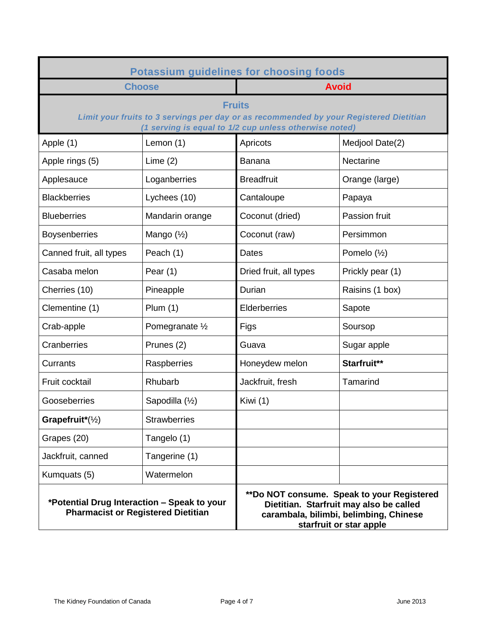| <b>Potassium guidelines for choosing foods</b>                                                                                                                    |                       |                        |                                                                                                                                                            |  |
|-------------------------------------------------------------------------------------------------------------------------------------------------------------------|-----------------------|------------------------|------------------------------------------------------------------------------------------------------------------------------------------------------------|--|
| <b>Choose</b>                                                                                                                                                     |                       | <b>Avoid</b>           |                                                                                                                                                            |  |
| <b>Fruits</b><br>Limit your fruits to 3 servings per day or as recommended by your Registered Dietitian<br>(1 serving is equal to 1/2 cup unless otherwise noted) |                       |                        |                                                                                                                                                            |  |
| Apple (1)                                                                                                                                                         | Lemon (1)             | Apricots               | Medjool Date(2)                                                                                                                                            |  |
| Apple rings (5)                                                                                                                                                   | Lime $(2)$            | Banana                 | <b>Nectarine</b>                                                                                                                                           |  |
| Applesauce                                                                                                                                                        | Loganberries          | <b>Breadfruit</b>      | Orange (large)                                                                                                                                             |  |
| <b>Blackberries</b>                                                                                                                                               | Lychees (10)          | Cantaloupe             | Papaya                                                                                                                                                     |  |
| <b>Blueberries</b>                                                                                                                                                | Mandarin orange       | Coconut (dried)        | Passion fruit                                                                                                                                              |  |
| <b>Boysenberries</b>                                                                                                                                              | Mango $(\frac{1}{2})$ | Coconut (raw)          | Persimmon                                                                                                                                                  |  |
| Canned fruit, all types                                                                                                                                           | Peach (1)             | Dates                  | Pomelo $(\frac{1}{2})$                                                                                                                                     |  |
| Casaba melon                                                                                                                                                      | Pear $(1)$            | Dried fruit, all types | Prickly pear (1)                                                                                                                                           |  |
| Cherries (10)                                                                                                                                                     | Pineapple             | Durian                 | Raisins (1 box)                                                                                                                                            |  |
| Clementine (1)                                                                                                                                                    | Plum $(1)$            | Elderberries           | Sapote                                                                                                                                                     |  |
| Crab-apple                                                                                                                                                        | Pomegranate 1/2       | Figs                   | Soursop                                                                                                                                                    |  |
| Cranberries                                                                                                                                                       | Prunes (2)            | Guava                  | Sugar apple                                                                                                                                                |  |
| Currants                                                                                                                                                          | Raspberries           | Honeydew melon         | Starfruit**                                                                                                                                                |  |
| Fruit cocktail                                                                                                                                                    | Rhubarb               | Jackfruit, fresh       | Tamarind                                                                                                                                                   |  |
| Gooseberries                                                                                                                                                      | Sapodilla (1/2)       | Kiwi (1)               |                                                                                                                                                            |  |
| Grapefruit <sup>*</sup> $(\frac{1}{2})$                                                                                                                           | <b>Strawberries</b>   |                        |                                                                                                                                                            |  |
| Grapes (20)                                                                                                                                                       | Tangelo (1)           |                        |                                                                                                                                                            |  |
| Jackfruit, canned                                                                                                                                                 | Tangerine (1)         |                        |                                                                                                                                                            |  |
| Kumquats (5)                                                                                                                                                      | Watermelon            |                        |                                                                                                                                                            |  |
| *Potential Drug Interaction - Speak to your<br><b>Pharmacist or Registered Dietitian</b>                                                                          |                       |                        | **Do NOT consume. Speak to your Registered<br>Dietitian. Starfruit may also be called<br>carambala, bilimbi, belimbing, Chinese<br>starfruit or star apple |  |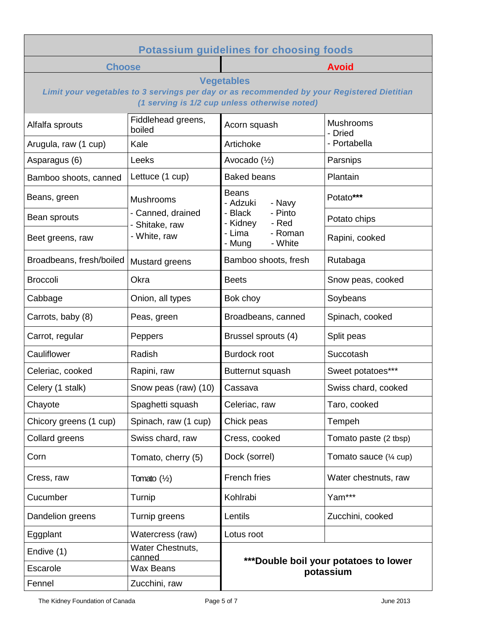| <b>Potassium guidelines for choosing foods</b>                                                                                                                   |                                                                         |                                                                                                                         |                             |  |
|------------------------------------------------------------------------------------------------------------------------------------------------------------------|-------------------------------------------------------------------------|-------------------------------------------------------------------------------------------------------------------------|-----------------------------|--|
| <b>Choose</b>                                                                                                                                                    |                                                                         |                                                                                                                         | <b>Avoid</b>                |  |
| <b>Vegetables</b><br>Limit your vegetables to 3 servings per day or as recommended by your Registered Dietitian<br>(1 serving is 1/2 cup unless otherwise noted) |                                                                         |                                                                                                                         |                             |  |
| Alfalfa sprouts                                                                                                                                                  | Fiddlehead greens,<br>boiled                                            | Acorn squash                                                                                                            | <b>Mushrooms</b><br>- Dried |  |
| Arugula, raw (1 cup)                                                                                                                                             | Kale                                                                    | Artichoke                                                                                                               | - Portabella                |  |
| Asparagus (6)                                                                                                                                                    | Leeks                                                                   | Avocado $(\frac{1}{2})$                                                                                                 | Parsnips                    |  |
| Bamboo shoots, canned                                                                                                                                            | Lettuce (1 cup)                                                         | <b>Baked beans</b>                                                                                                      | Plantain                    |  |
| Beans, green                                                                                                                                                     | <b>Mushrooms</b><br>- Canned, drained<br>- Shitake, raw<br>- White, raw | <b>Beans</b><br>- Adzuki<br>- Navy<br>- Pinto<br>- Black<br>- Red<br>- Kidney<br>- Lima<br>- Roman<br>- Mung<br>- White | Potato***                   |  |
| Bean sprouts                                                                                                                                                     |                                                                         |                                                                                                                         | Potato chips                |  |
| Beet greens, raw                                                                                                                                                 |                                                                         |                                                                                                                         | Rapini, cooked              |  |
| Broadbeans, fresh/boiled                                                                                                                                         | Mustard greens                                                          | Bamboo shoots, fresh                                                                                                    | Rutabaga                    |  |
| <b>Broccoli</b>                                                                                                                                                  | Okra                                                                    | <b>Beets</b>                                                                                                            | Snow peas, cooked           |  |
| Cabbage                                                                                                                                                          | Onion, all types                                                        | Bok choy                                                                                                                | Soybeans                    |  |
| Carrots, baby (8)                                                                                                                                                | Peas, green                                                             | Broadbeans, canned                                                                                                      | Spinach, cooked             |  |
| Carrot, regular                                                                                                                                                  | Peppers                                                                 | Brussel sprouts (4)                                                                                                     | Split peas                  |  |
| Cauliflower                                                                                                                                                      | Radish                                                                  | <b>Burdock root</b>                                                                                                     | Succotash                   |  |
| Celeriac, cooked                                                                                                                                                 | Rapini, raw                                                             | Butternut squash                                                                                                        | Sweet potatoes***           |  |
| Celery (1 stalk)                                                                                                                                                 | Snow peas (raw) (10)                                                    | Cassava                                                                                                                 | Swiss chard, cooked         |  |
| Chayote                                                                                                                                                          | Spaghetti squash                                                        | Celeriac, raw                                                                                                           | Taro, cooked                |  |
| Chicory greens (1 cup)                                                                                                                                           | Spinach, raw (1 cup)                                                    | Chick peas                                                                                                              | Tempeh                      |  |
| Collard greens                                                                                                                                                   | Swiss chard, raw                                                        | Cress, cooked                                                                                                           | Tomato paste (2 tbsp)       |  |
| Corn                                                                                                                                                             | Tomato, cherry (5)                                                      | Dock (sorrel)                                                                                                           | Tomato sauce (1/4 cup)      |  |
| Cress, raw                                                                                                                                                       | Tomato $(\frac{1}{2})$                                                  | French fries                                                                                                            | Water chestnuts, raw        |  |
| Cucumber                                                                                                                                                         | Turnip                                                                  | Kohlrabi                                                                                                                | Yam***                      |  |
| Dandelion greens                                                                                                                                                 | Turnip greens                                                           | Lentils                                                                                                                 | Zucchini, cooked            |  |
| Eggplant                                                                                                                                                         | Watercress (raw)                                                        | Lotus root                                                                                                              |                             |  |
| Endive (1)                                                                                                                                                       | Water Chestnuts,<br>canned                                              | *** Double boil your potatoes to lower<br>potassium                                                                     |                             |  |
| Escarole                                                                                                                                                         | <b>Wax Beans</b>                                                        |                                                                                                                         |                             |  |
| Fennel                                                                                                                                                           | Zucchini, raw                                                           |                                                                                                                         |                             |  |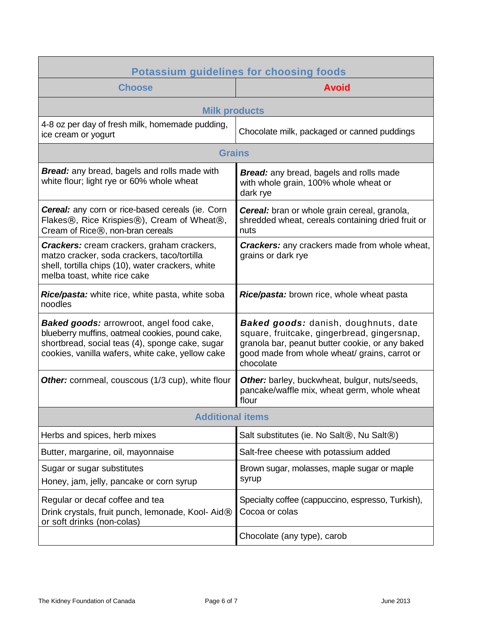| <b>Potassium guidelines for choosing foods</b>                                                                                                                                                            |                                                                                                                                                                                                             |  |  |  |
|-----------------------------------------------------------------------------------------------------------------------------------------------------------------------------------------------------------|-------------------------------------------------------------------------------------------------------------------------------------------------------------------------------------------------------------|--|--|--|
| <b>Choose</b>                                                                                                                                                                                             | <b>Avoid</b>                                                                                                                                                                                                |  |  |  |
| <b>Milk products</b>                                                                                                                                                                                      |                                                                                                                                                                                                             |  |  |  |
| 4-8 oz per day of fresh milk, homemade pudding,<br>ice cream or yogurt                                                                                                                                    | Chocolate milk, packaged or canned puddings                                                                                                                                                                 |  |  |  |
| <b>Grains</b>                                                                                                                                                                                             |                                                                                                                                                                                                             |  |  |  |
| <b>Bread:</b> any bread, bagels and rolls made with<br>white flour; light rye or 60% whole wheat                                                                                                          | <b>Bread:</b> any bread, bagels and rolls made<br>with whole grain, 100% whole wheat or<br>dark rye                                                                                                         |  |  |  |
| <b>Cereal:</b> any corn or rice-based cereals (ie. Corn<br>Flakes®, Rice Krispies®), Cream of Wheat®,<br>Cream of Rice®, non-bran cereals                                                                 | <b>Cereal:</b> bran or whole grain cereal, granola,<br>shredded wheat, cereals containing dried fruit or<br>nuts                                                                                            |  |  |  |
| <b>Crackers:</b> cream crackers, graham crackers,<br>matzo cracker, soda crackers, taco/tortilla<br>shell, tortilla chips (10), water crackers, white<br>melba toast, white rice cake                     | <b>Crackers:</b> any crackers made from whole wheat,<br>grains or dark rye                                                                                                                                  |  |  |  |
| Rice/pasta: white rice, white pasta, white soba<br>noodles                                                                                                                                                | Rice/pasta: brown rice, whole wheat pasta                                                                                                                                                                   |  |  |  |
| <b>Baked goods:</b> arrowroot, angel food cake,<br>blueberry muffins, oatmeal cookies, pound cake,<br>shortbread, social teas (4), sponge cake, sugar<br>cookies, vanilla wafers, white cake, yellow cake | <b>Baked goods:</b> danish, doughnuts, date<br>square, fruitcake, gingerbread, gingersnap,<br>granola bar, peanut butter cookie, or any baked<br>good made from whole wheat/ grains, carrot or<br>chocolate |  |  |  |
| Other: cornmeal, couscous (1/3 cup), white flour                                                                                                                                                          | Other: barley, buckwheat, bulgur, nuts/seeds,<br>pancake/waffle mix, wheat germ, whole wheat<br>flour                                                                                                       |  |  |  |
| Additional items                                                                                                                                                                                          |                                                                                                                                                                                                             |  |  |  |
| Herbs and spices, herb mixes                                                                                                                                                                              | Salt substitutes (ie. No Salt®, Nu Salt®)                                                                                                                                                                   |  |  |  |
| Butter, margarine, oil, mayonnaise                                                                                                                                                                        | Salt-free cheese with potassium added                                                                                                                                                                       |  |  |  |
| Sugar or sugar substitutes<br>Honey, jam, jelly, pancake or corn syrup                                                                                                                                    | Brown sugar, molasses, maple sugar or maple<br>syrup                                                                                                                                                        |  |  |  |
| Regular or decaf coffee and tea<br>Drink crystals, fruit punch, lemonade, Kool-Aid®<br>or soft drinks (non-colas)                                                                                         | Specialty coffee (cappuccino, espresso, Turkish),<br>Cocoa or colas                                                                                                                                         |  |  |  |
|                                                                                                                                                                                                           | Chocolate (any type), carob                                                                                                                                                                                 |  |  |  |